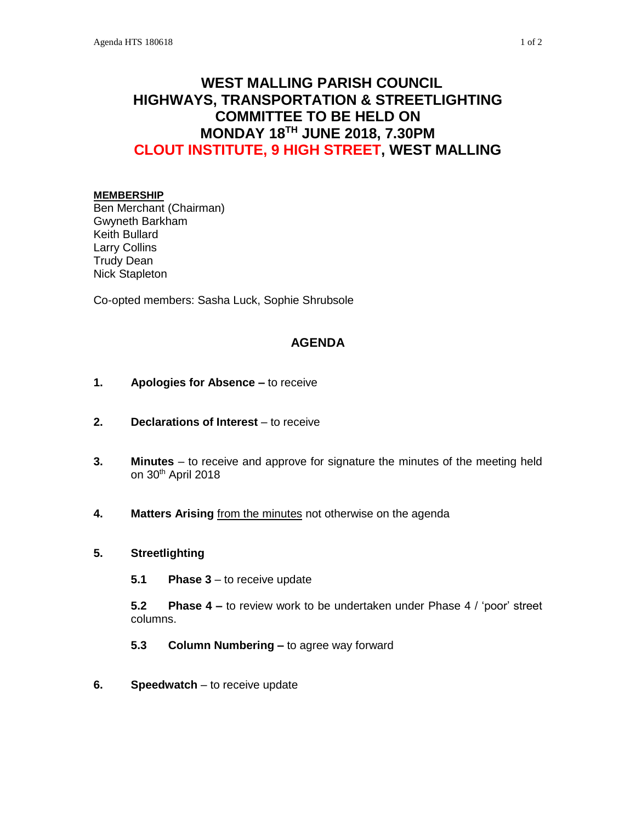# **WEST MALLING PARISH COUNCIL HIGHWAYS, TRANSPORTATION & STREETLIGHTING COMMITTEE TO BE HELD ON MONDAY 18TH JUNE 2018, 7.30PM CLOUT INSTITUTE, 9 HIGH STREET, WEST MALLING**

#### **MEMBERSHIP**

Ben Merchant (Chairman) Gwyneth Barkham Keith Bullard Larry Collins Trudy Dean Nick Stapleton

Co-opted members: Sasha Luck, Sophie Shrubsole

# **AGENDA**

- **1. Apologies for Absence –** to receive
- **2. Declarations of Interest** to receive
- **3. Minutes**  to receive and approve for signature the minutes of the meeting held on 30th April 2018
- **4. Matters Arising** from the minutes not otherwise on the agenda

### **5. Streetlighting**

**5.1 Phase 3** – to receive update

**5.2 Phase 4 –** to review work to be undertaken under Phase 4 / 'poor' street columns.

- **5.3 Column Numbering –** to agree way forward
- **6. Speedwatch** to receive update